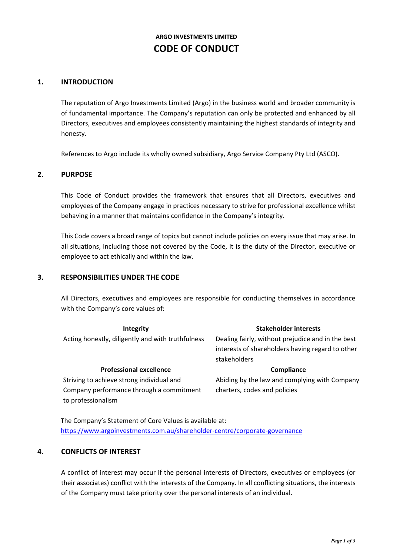# **ARGO INVESTMENTS LIMITED CODE OF CONDUCT**

### **1. INTRODUCTION**

The reputation of Argo Investments Limited (Argo) in the business world and broader community is of fundamental importance. The Company's reputation can only be protected and enhanced by all Directors, executives and employees consistently maintaining the highest standards of integrity and honesty.

References to Argo include its wholly owned subsidiary, Argo Service Company Pty Ltd (ASCO).

#### **2. PURPOSE**

This Code of Conduct provides the framework that ensures that all Directors, executives and employees of the Company engage in practices necessary to strive for professional excellence whilst behaving in a manner that maintains confidence in the Company's integrity.

This Code covers a broad range of topics but cannot include policies on every issue that may arise. In all situations, including those not covered by the Code, it is the duty of the Director, executive or employee to act ethically and within the law.

#### **3. RESPONSIBILITIES UNDER THE CODE**

All Directors, executives and employees are responsible for conducting themselves in accordance with the Company's core values of:

| Integrity                                         | <b>Stakeholder interests</b>                      |
|---------------------------------------------------|---------------------------------------------------|
| Acting honestly, diligently and with truthfulness | Dealing fairly, without prejudice and in the best |
|                                                   | interests of shareholders having regard to other  |
|                                                   | stakeholders                                      |
|                                                   |                                                   |
| <b>Professional excellence</b>                    | Compliance                                        |
| Striving to achieve strong individual and         | Abiding by the law and complying with Company     |
| Company performance through a commitment          | charters, codes and policies                      |

The Company's Statement of Core Values is available at: <https://www.argoinvestments.com.au/shareholder-centre/corporate-governance>

#### **4. CONFLICTS OF INTEREST**

A conflict of interest may occur if the personal interests of Directors, executives or employees (or their associates) conflict with the interests of the Company. In all conflicting situations, the interests of the Company must take priority over the personal interests of an individual.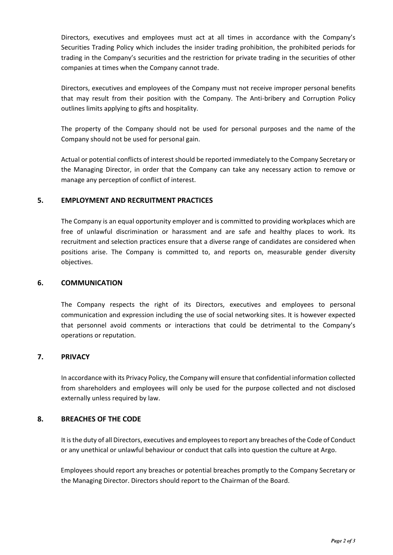Directors, executives and employees must act at all times in accordance with the Company's Securities Trading Policy which includes the insider trading prohibition, the prohibited periods for trading in the Company's securities and the restriction for private trading in the securities of other companies at times when the Company cannot trade.

Directors, executives and employees of the Company must not receive improper personal benefits that may result from their position with the Company. The Anti-bribery and Corruption Policy outlines limits applying to gifts and hospitality.

The property of the Company should not be used for personal purposes and the name of the Company should not be used for personal gain.

Actual or potential conflicts of interest should be reported immediately to the Company Secretary or the Managing Director, in order that the Company can take any necessary action to remove or manage any perception of conflict of interest.

## **5. EMPLOYMENT AND RECRUITMENT PRACTICES**

The Company is an equal opportunity employer and is committed to providing workplaces which are free of unlawful discrimination or harassment and are safe and healthy places to work. Its recruitment and selection practices ensure that a diverse range of candidates are considered when positions arise. The Company is committed to, and reports on, measurable gender diversity objectives.

#### **6. COMMUNICATION**

The Company respects the right of its Directors, executives and employees to personal communication and expression including the use of social networking sites. It is however expected that personnel avoid comments or interactions that could be detrimental to the Company's operations or reputation.

## **7. PRIVACY**

In accordance with its Privacy Policy, the Company will ensure that confidential information collected from shareholders and employees will only be used for the purpose collected and not disclosed externally unless required by law.

#### **8. BREACHES OF THE CODE**

It is the duty of all Directors, executives and employees to report any breaches of the Code of Conduct or any unethical or unlawful behaviour or conduct that calls into question the culture at Argo.

Employees should report any breaches or potential breaches promptly to the Company Secretary or the Managing Director. Directors should report to the Chairman of the Board.